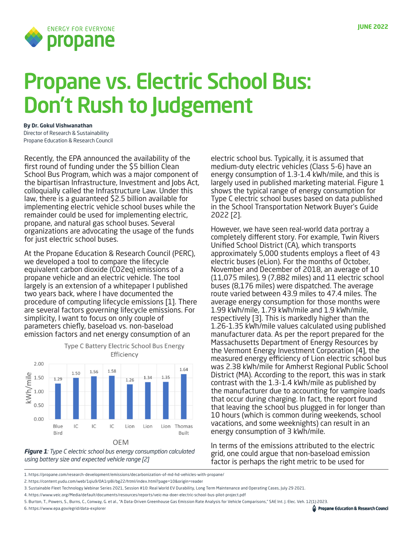

# Propane vs. Electric School Bus: Don't Rush to Judgement

**By Dr. Gokul Vishwanathan** Director of Research & Sustainability Propane Education & Research Council

Recently, the EPA announced the availability of the first round of funding under the \$5 billion Clean School Bus Program, which was a major component of the bipartisan Infrastructure, Investment and Jobs Act, colloquially called the Infrastructure Law. Under this law, there is a guaranteed \$2.5 billion available for implementing electric vehicle school buses while the remainder could be used for implementing electric, propane, and natural gas school buses. Several organizations are advocating the usage of the funds for just electric school buses.

At the Propane Education & Research Council (PERC), we developed a tool to compare the lifecycle equivalent carbon dioxide (CO2eq) emissions of a propane vehicle and an electric vehicle. The tool largely is an extension of a whitepaper I published two years back, where I have documented the procedure of computing lifecycle emissions [1]. There are several factors governing lifecycle emissions. For simplicity, I want to focus on only couple of parameters chiefly, baseload vs. non-baseload emission factors and net energy consumption of an

Type C Battery Electric School Bus Energy





electric school bus. Typically, it is assumed that medium-duty electric vehicles (Class 5-6) have an energy consumption of 1.3-1.4 kWh/mile, and this is largely used in published marketing material. Figure 1 shows the typical range of energy consumption for Type C electric school buses based on data published in the School Transportation Network Buyer's Guide 2022 [2].

However, we have seen real-world data portray a completely different story. For example, Twin Rivers Unified School District (CA), which transports approximately 5,000 students employs a fleet of 43 electric buses (eLion). For the months of October, November and December of 2018, an average of 10 (11,075 miles), 9 (7,882 miles) and 11 electric school buses (8,176 miles) were dispatched. The average route varied between 43.9 miles to 47.4 miles. The average energy consumption for those months were 1.99 kWh/mile, 1.79 kWh/mile and 1.9 kWh/mile, respectively [3]. This is markedly higher than the 1.26-1.35 kWh/mile values calculated using published manufacturer data. As per the report prepared for the Massachusetts Department of Energy Resources by the Vermont Energy Investment Corporation [4], the measured energy efficiency of Lion electric school bus was 2.38 kWh/mile for Amherst Regional Public School District (MA). According to the report, this was in stark contrast with the 1.3-1.4 kWh/mile as published by the manufacturer due to accounting for vampire loads that occur during charging. In fact, the report found that leaving the school bus plugged in for longer than 10 hours (which is common during weekends, school vacations, and some weeknights) can result in an energy consumption of 3 kWh/mile.

In terms of the emissions attributed to the electric grid, one could argue that non-baseload emission factor is perhaps the right metric to be used for

2. https://content.yudu.com/web/1qiu9/0A1rp8i/bg22/html/index.html?page=10&origin=reader

- 4. https://www.veic.org/Media/default/documents/resources/reports/veic-ma-doer-electric-school-bus-pilot-project.pdf
- 5. Burton, T., Powers, S., Burns, C., Conway, G. et al., "A Data-Driven Greenhouse Gas Emission Rate Analysis for Vehicle Comparisons," SAE Int. J. Elec. Veh. 12(1):2023.
- 6. https://www.epa.gov/egrid/data-explorer

<sup>1.</sup> https://propane.com/research-development/emissions/decarbonization-of-md-hd-vehicles-with-propane/

<sup>3.</sup> Sustainable Fleet Technology Webinar Series 2021, Session #10: Real World EV Durability, Long Term Maintenance and Operating Cases, July 29 2021.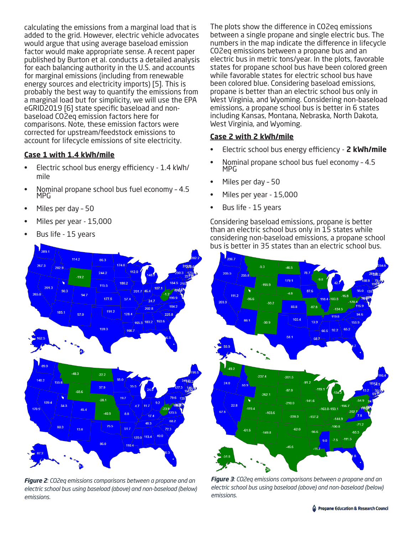calculating the emissions from a marginal load that is added to the grid. However, electric vehicle advocates would argue that using average baseload emission factor would make appropriate sense. A recent paper published by Burton et al. conducts a detailed analysis for each balancing authority in the U.S. and accounts for marginal emissions (including from renewable energy sources and electricity imports) [5]. This is probably the best way to quantify the emissions from a marginal load but for simplicity, we will use the EPA eGRID2019 [6] state specific baseload and nonbaseload CO2eq emission factors here for comparisons. Note, these emission factors were corrected for upstream/feedstock emissions to account for lifecycle emissions of site electricity.

## **Case 1 with 1.4 kWh/mile**

- Electric school bus energy efficiency 1.4 kWh/ mile
- Nominal propane school bus fuel economy 4.5 MPG
- Miles per day 50
- Miles per year 15,000
- Bus life 15 years

The plots show the difference in CO2eq emissions between a single propane and single electric bus. The numbers in the map indicate the difference in lifecycle CO2eq emissions between a propane bus and an electric bus in metric tons/year. In the plots, favorable states for propane school bus have been colored green while favorable states for electric school bus have been colored blue. Considering baseload emissions, propane is better than an electric school bus only in West Virginia, and Wyoming. Considering non-baseload emissions, a propane school bus is better in 6 states including Kansas, Montana, Nebraska, North Dakota, West Virginia, and Wyoming.

#### **Case 2 with 2 kWh/mile**

- Electric school bus energy efficiency **2 kWh/mile**
- Nominal propane school bus fuel economy 4.5 MPG
- Miles per day 50
- Miles per year 15,000
- Bus life 15 years

Considering baseload emissions, propane is better than an electric school bus only in 15 states while considering non-baseload emissions, a propane school bus is better in 35 states than an electric school bus.



*Figure 3: CO2eq emissions comparisons between a propane and an electric school bus using baseload (above) and non-baseload (below) emissions.*



*Figure 2: CO2eq emissions comparisons between a propane and an electric school bus using baseload (above) and non-baseload (below) emissions.*